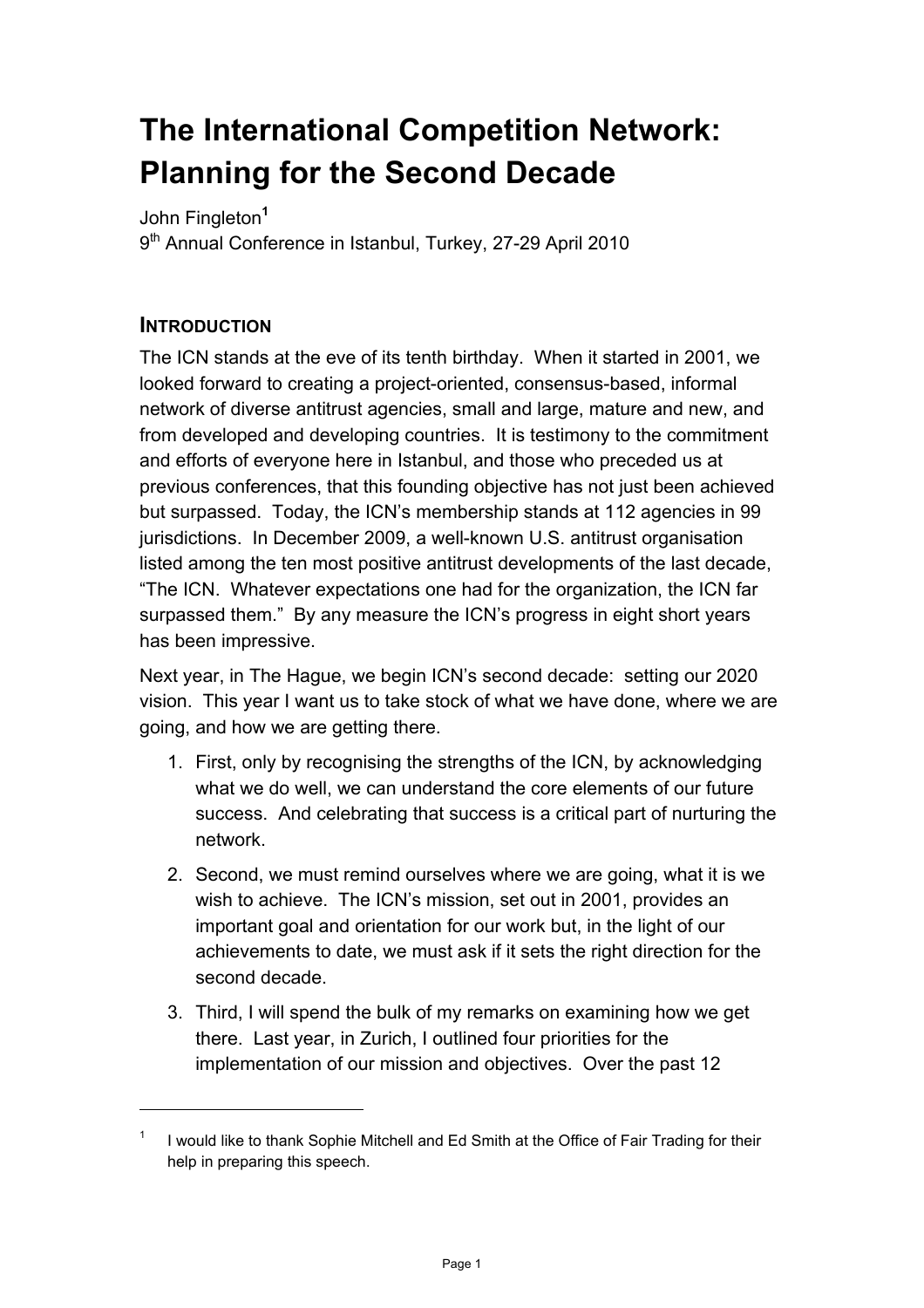# **The International Competition Network: Planning for the Second Decade**

John Fingleton**<sup>1</sup>**

9<sup>th</sup> Annual Conference in Istanbul, Turkey, 27-29 April 2010

## **INTRODUCTION**

l

The ICN stands at the eve of its tenth birthday. When it started in 2001, we looked forward to creating a project-oriented, consensus-based, informal network of diverse antitrust agencies, small and large, mature and new, and from developed and developing countries. It is testimony to the commitment and efforts of everyone here in Istanbul, and those who preceded us at previous conferences, that this founding objective has not just been achieved but surpassed. Today, the ICN's membership stands at 112 agencies in 99 jurisdictions. In December 2009, a well-known U.S. antitrust organisation listed among the ten most positive antitrust developments of the last decade, "The ICN. Whatever expectations one had for the organization, the ICN far surpassed them." By any measure the ICN's progress in eight short years has been impressive.

Next year, in The Hague, we begin ICN's second decade: setting our 2020 vision. This year I want us to take stock of what we have done, where we are going, and how we are getting there.

- 1. First, only by recognising the strengths of the ICN, by acknowledging what we do well, we can understand the core elements of our future success. And celebrating that success is a critical part of nurturing the network.
- 2. Second, we must remind ourselves where we are going, what it is we wish to achieve. The ICN's mission, set out in 2001, provides an important goal and orientation for our work but, in the light of our achievements to date, we must ask if it sets the right direction for the second decade.
- 3. Third, I will spend the bulk of my remarks on examining how we get there. Last year, in Zurich, I outlined four priorities for the implementation of our mission and objectives. Over the past 12

<sup>1</sup> I would like to thank Sophie Mitchell and Ed Smith at the Office of Fair Trading for their help in preparing this speech.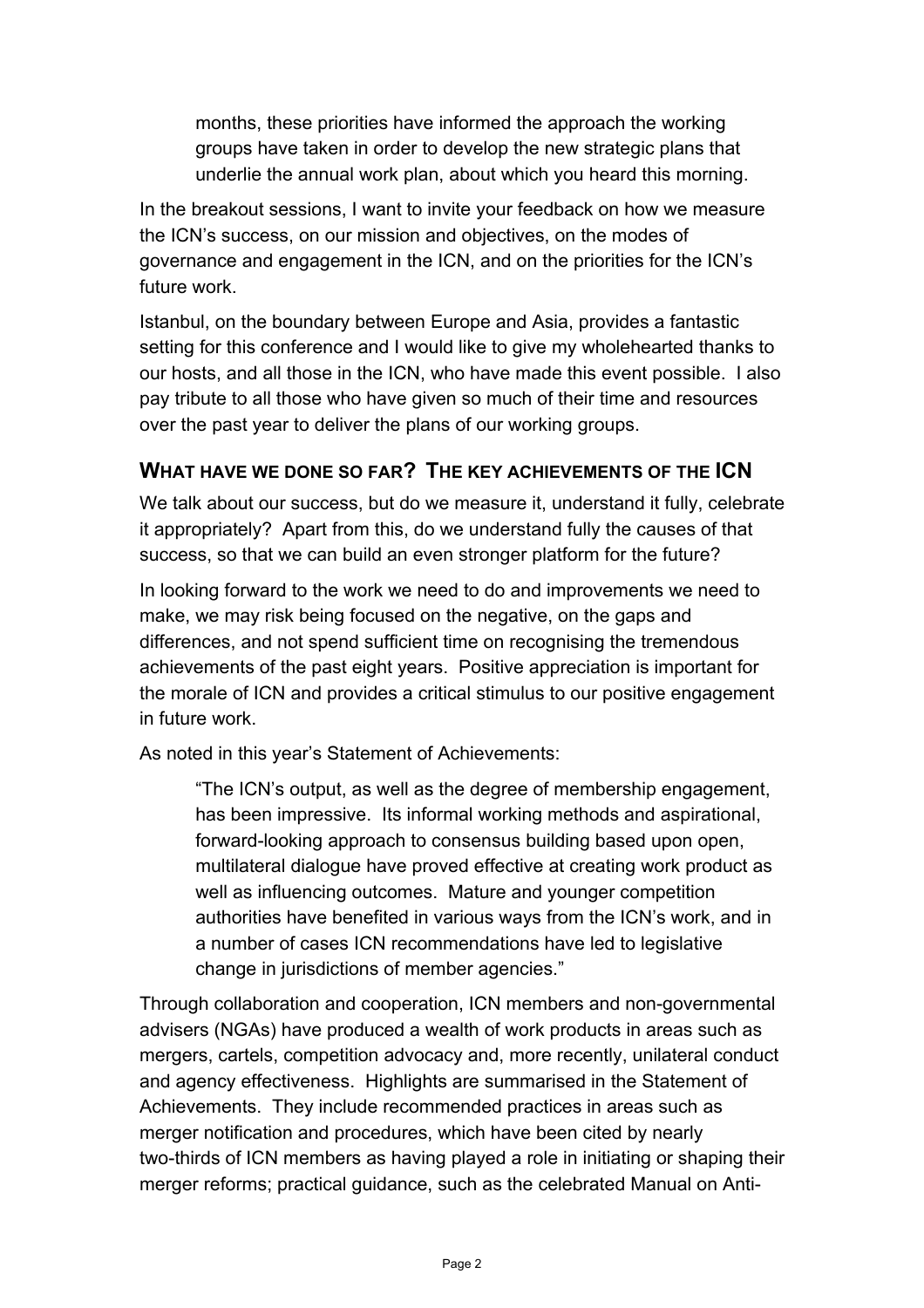months, these priorities have informed the approach the working groups have taken in order to develop the new strategic plans that underlie the annual work plan, about which you heard this morning.

In the breakout sessions, I want to invite your feedback on how we measure the ICN's success, on our mission and objectives, on the modes of governance and engagement in the ICN, and on the priorities for the ICN's future work.

Istanbul, on the boundary between Europe and Asia, provides a fantastic setting for this conference and I would like to give my wholehearted thanks to our hosts, and all those in the ICN, who have made this event possible. I also pay tribute to all those who have given so much of their time and resources over the past year to deliver the plans of our working groups.

## **WHAT HAVE WE DONE SO FAR? THE KEY ACHIEVEMENTS OF THE ICN**

We talk about our success, but do we measure it, understand it fully, celebrate it appropriately? Apart from this, do we understand fully the causes of that success, so that we can build an even stronger platform for the future?

In looking forward to the work we need to do and improvements we need to make, we may risk being focused on the negative, on the gaps and differences, and not spend sufficient time on recognising the tremendous achievements of the past eight years. Positive appreciation is important for the morale of ICN and provides a critical stimulus to our positive engagement in future work.

As noted in this year's Statement of Achievements:

"The ICN's output, as well as the degree of membership engagement, has been impressive. Its informal working methods and aspirational, forward-looking approach to consensus building based upon open, multilateral dialogue have proved effective at creating work product as well as influencing outcomes. Mature and younger competition authorities have benefited in various ways from the ICN's work, and in a number of cases ICN recommendations have led to legislative change in jurisdictions of member agencies."

Through collaboration and cooperation, ICN members and non-governmental advisers (NGAs) have produced a wealth of work products in areas such as mergers, cartels, competition advocacy and, more recently, unilateral conduct and agency effectiveness. Highlights are summarised in the Statement of Achievements. They include recommended practices in areas such as merger notification and procedures, which have been cited by nearly two-thirds of ICN members as having played a role in initiating or shaping their merger reforms; practical guidance, such as the celebrated Manual on Anti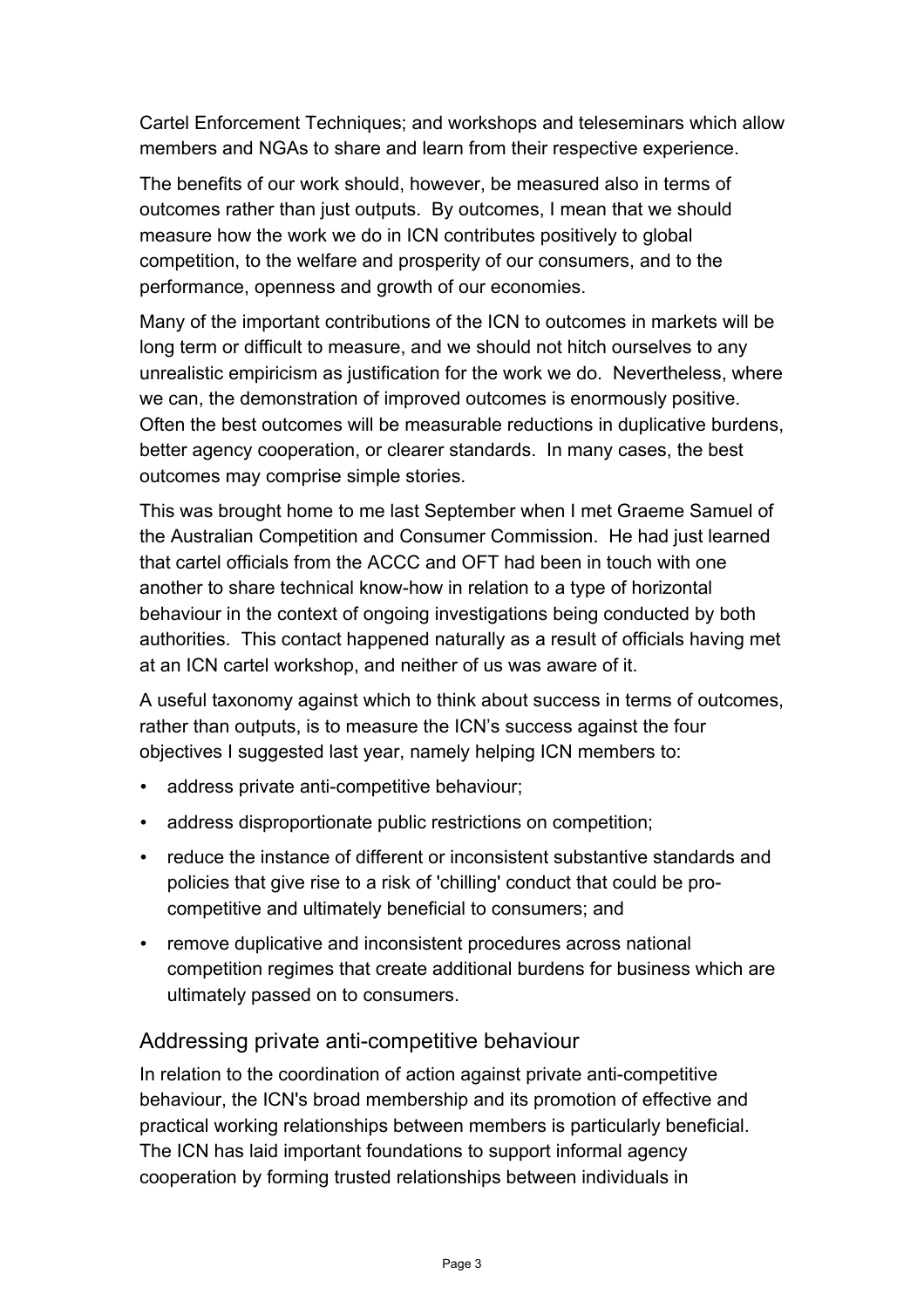Cartel Enforcement Techniques; and workshops and teleseminars which allow members and NGAs to share and learn from their respective experience.

The benefits of our work should, however, be measured also in terms of outcomes rather than just outputs. By outcomes, I mean that we should measure how the work we do in ICN contributes positively to global competition, to the welfare and prosperity of our consumers, and to the performance, openness and growth of our economies.

Many of the important contributions of the ICN to outcomes in markets will be long term or difficult to measure, and we should not hitch ourselves to any unrealistic empiricism as justification for the work we do. Nevertheless, where we can, the demonstration of improved outcomes is enormously positive. Often the best outcomes will be measurable reductions in duplicative burdens, better agency cooperation, or clearer standards. In many cases, the best outcomes may comprise simple stories.

This was brought home to me last September when I met Graeme Samuel of the Australian Competition and Consumer Commission. He had just learned that cartel officials from the ACCC and OFT had been in touch with one another to share technical know-how in relation to a type of horizontal behaviour in the context of ongoing investigations being conducted by both authorities. This contact happened naturally as a result of officials having met at an ICN cartel workshop, and neither of us was aware of it.

A useful taxonomy against which to think about success in terms of outcomes, rather than outputs, is to measure the ICN's success against the four objectives I suggested last year, namely helping ICN members to:

- address private anti-competitive behaviour;
- address disproportionate public restrictions on competition;
- reduce the instance of different or inconsistent substantive standards and policies that give rise to a risk of 'chilling' conduct that could be procompetitive and ultimately beneficial to consumers; and
- remove duplicative and inconsistent procedures across national competition regimes that create additional burdens for business which are ultimately passed on to consumers.

#### Addressing private anti-competitive behaviour

In relation to the coordination of action against private anti-competitive behaviour, the ICN's broad membership and its promotion of effective and practical working relationships between members is particularly beneficial. The ICN has laid important foundations to support informal agency cooperation by forming trusted relationships between individuals in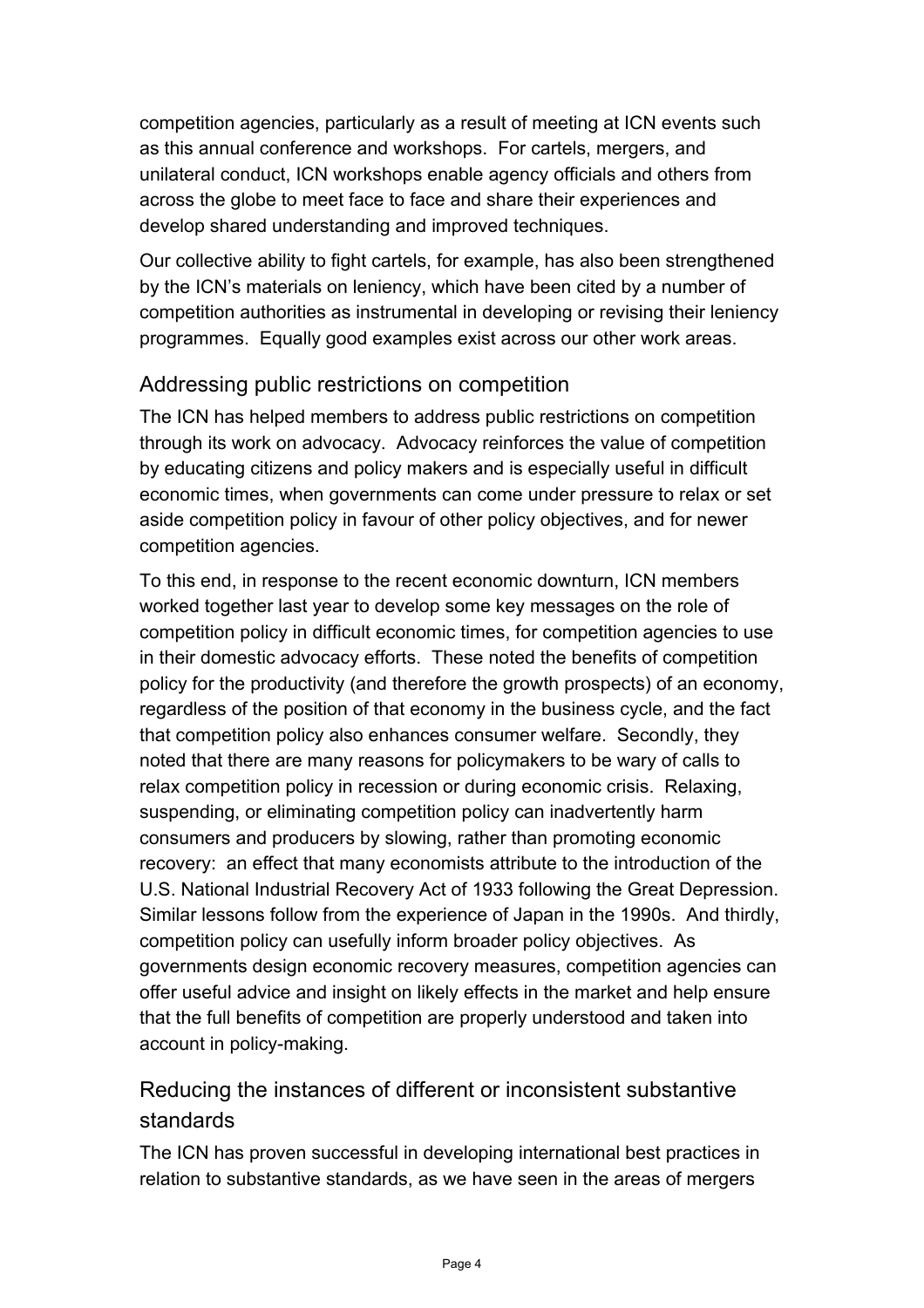competition agencies, particularly as a result of meeting at ICN events such as this annual conference and workshops. For cartels, mergers, and unilateral conduct, ICN workshops enable agency officials and others from across the globe to meet face to face and share their experiences and develop shared understanding and improved techniques.

Our collective ability to fight cartels, for example, has also been strengthened by the ICN's materials on leniency, which have been cited by a number of competition authorities as instrumental in developing or revising their leniency programmes. Equally good examples exist across our other work areas.

## Addressing public restrictions on competition

The ICN has helped members to address public restrictions on competition through its work on advocacy. Advocacy reinforces the value of competition by educating citizens and policy makers and is especially useful in difficult economic times, when governments can come under pressure to relax or set aside competition policy in favour of other policy objectives, and for newer competition agencies.

To this end, in response to the recent economic downturn, ICN members worked together last year to develop some key messages on the role of competition policy in difficult economic times, for competition agencies to use in their domestic advocacy efforts. These noted the benefits of competition policy for the productivity (and therefore the growth prospects) of an economy, regardless of the position of that economy in the business cycle, and the fact that competition policy also enhances consumer welfare. Secondly, they noted that there are many reasons for policymakers to be wary of calls to relax competition policy in recession or during economic crisis. Relaxing, suspending, or eliminating competition policy can inadvertently harm consumers and producers by slowing, rather than promoting economic recovery: an effect that many economists attribute to the introduction of the U.S. National Industrial Recovery Act of 1933 following the Great Depression. Similar lessons follow from the experience of Japan in the 1990s. And thirdly, competition policy can usefully inform broader policy objectives. As governments design economic recovery measures, competition agencies can offer useful advice and insight on likely effects in the market and help ensure that the full benefits of competition are properly understood and taken into account in policy-making.

# Reducing the instances of different or inconsistent substantive standards

The ICN has proven successful in developing international best practices in relation to substantive standards, as we have seen in the areas of mergers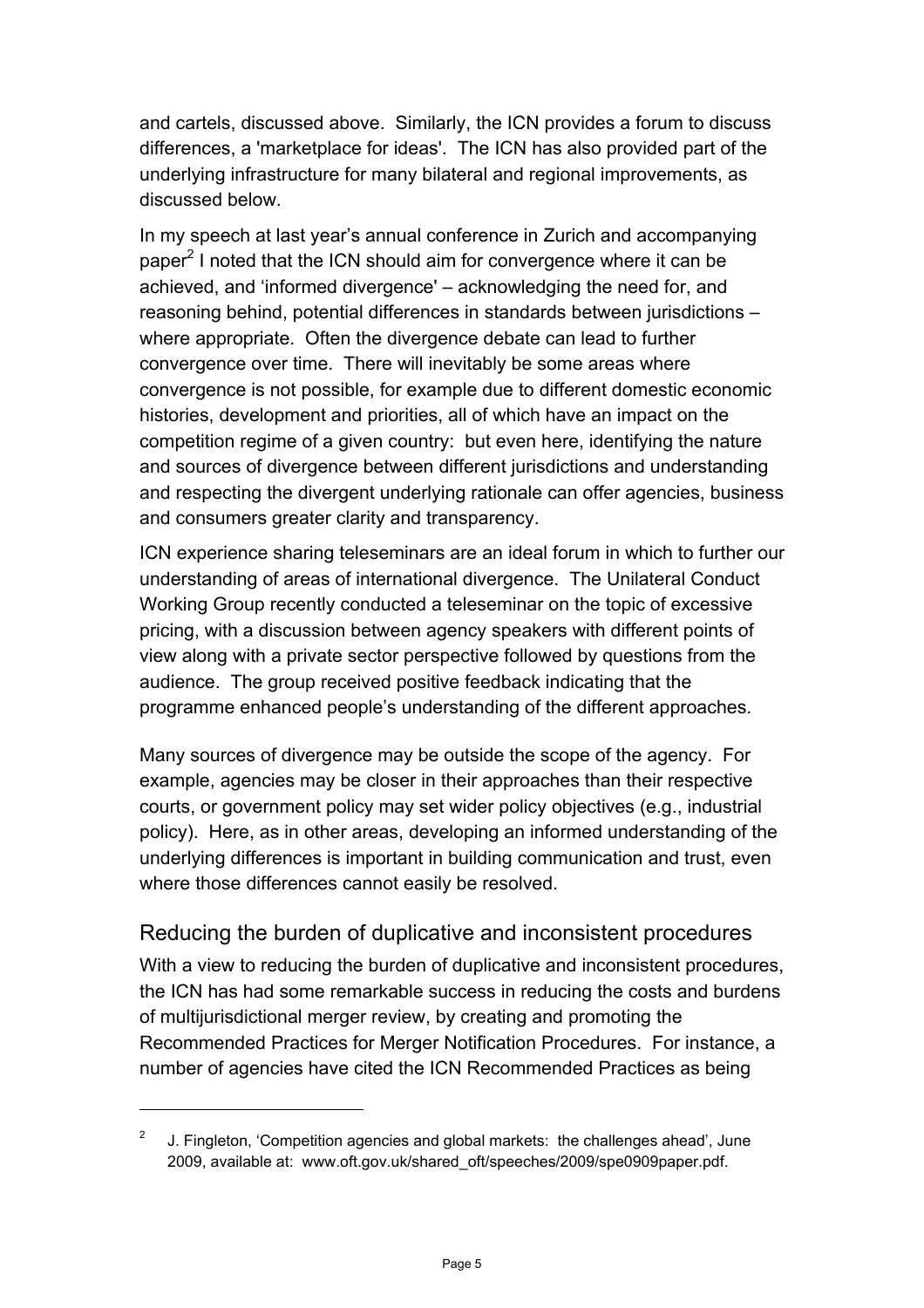and cartels, discussed above. Similarly, the ICN provides a forum to discuss differences, a 'marketplace for ideas'. The ICN has also provided part of the underlying infrastructure for many bilateral and regional improvements, as discussed below.

In my speech at last year's annual conference in Zurich and accompanying paper<sup>2</sup> I noted that the ICN should aim for convergence where it can be achieved, and 'informed divergence' – acknowledging the need for, and reasoning behind, potential differences in standards between jurisdictions – where appropriate. Often the divergence debate can lead to further convergence over time. There will inevitably be some areas where convergence is not possible, for example due to different domestic economic histories, development and priorities, all of which have an impact on the competition regime of a given country: but even here, identifying the nature and sources of divergence between different jurisdictions and understanding and respecting the divergent underlying rationale can offer agencies, business and consumers greater clarity and transparency.

ICN experience sharing teleseminars are an ideal forum in which to further our understanding of areas of international divergence. The Unilateral Conduct Working Group recently conducted a teleseminar on the topic of excessive pricing, with a discussion between agency speakers with different points of view along with a private sector perspective followed by questions from the audience. The group received positive feedback indicating that the programme enhanced people's understanding of the different approaches.

Many sources of divergence may be outside the scope of the agency. For example, agencies may be closer in their approaches than their respective courts, or government policy may set wider policy objectives (e.g., industrial policy). Here, as in other areas, developing an informed understanding of the underlying differences is important in building communication and trust, even where those differences cannot easily be resolved.

## Reducing the burden of duplicative and inconsistent procedures

With a view to reducing the burden of duplicative and inconsistent procedures, the ICN has had some remarkable success in reducing the costs and burdens of multijurisdictional merger review, by creating and promoting the Recommended Practices for Merger Notification Procedures. For instance, a number of agencies have cited the ICN Recommended Practices as being

l

<sup>&</sup>lt;sup>2</sup> J. Fingleton, 'Competition agencies and global markets: the challenges ahead', June 2009, available at: www.oft.gov.uk/shared\_oft/speeches/2009/spe0909paper.pdf.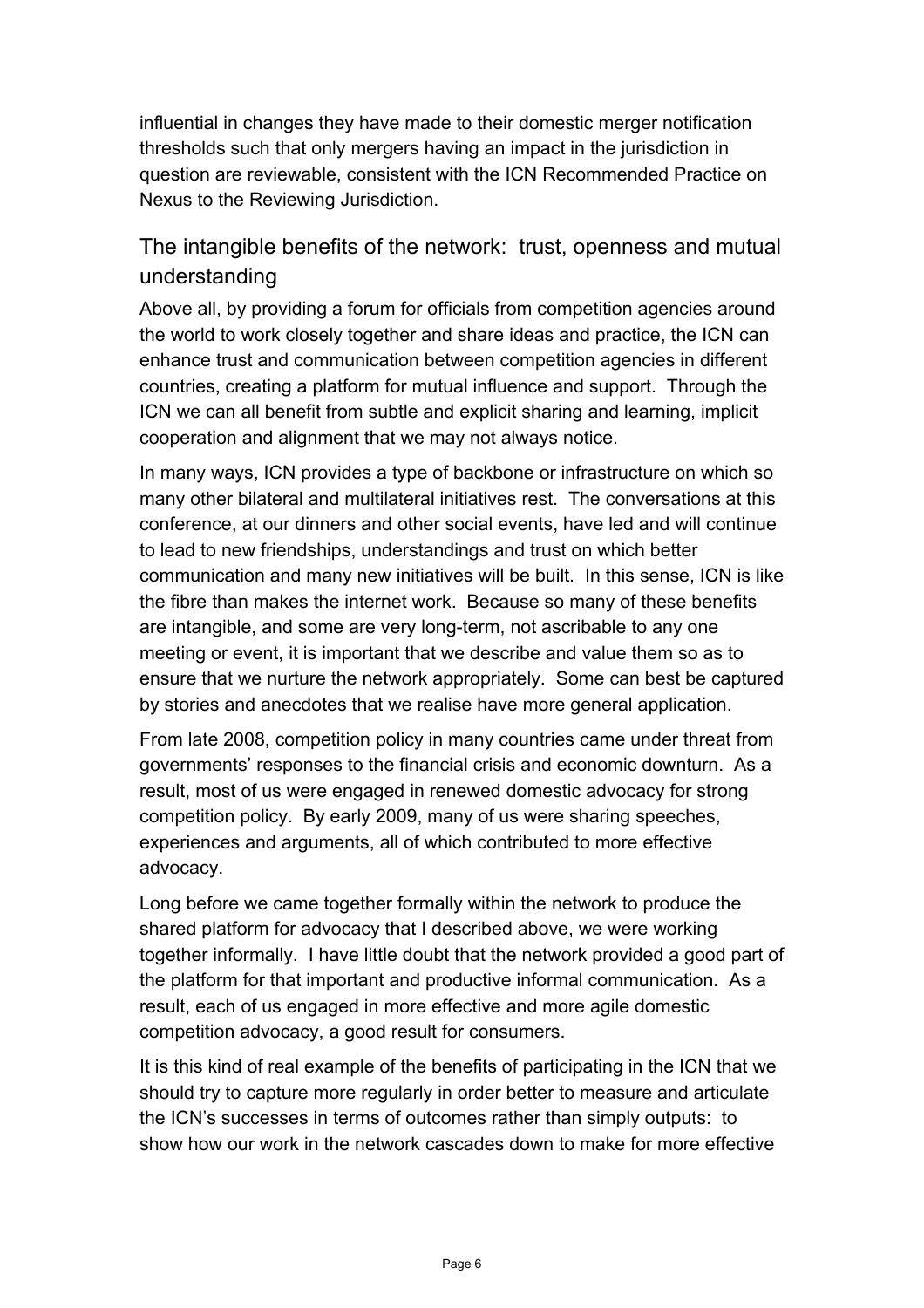influential in changes they have made to their domestic merger notification thresholds such that only mergers having an impact in the jurisdiction in question are reviewable, consistent with the ICN Recommended Practice on Nexus to the Reviewing Jurisdiction.

# The intangible benefits of the network: trust, openness and mutual understanding

Above all, by providing a forum for officials from competition agencies around the world to work closely together and share ideas and practice, the ICN can enhance trust and communication between competition agencies in different countries, creating a platform for mutual influence and support. Through the ICN we can all benefit from subtle and explicit sharing and learning, implicit cooperation and alignment that we may not always notice.

In many ways, ICN provides a type of backbone or infrastructure on which so many other bilateral and multilateral initiatives rest. The conversations at this conference, at our dinners and other social events, have led and will continue to lead to new friendships, understandings and trust on which better communication and many new initiatives will be built. In this sense, ICN is like the fibre than makes the internet work. Because so many of these benefits are intangible, and some are very long-term, not ascribable to any one meeting or event, it is important that we describe and value them so as to ensure that we nurture the network appropriately. Some can best be captured by stories and anecdotes that we realise have more general application.

From late 2008, competition policy in many countries came under threat from governments' responses to the financial crisis and economic downturn. As a result, most of us were engaged in renewed domestic advocacy for strong competition policy. By early 2009, many of us were sharing speeches, experiences and arguments, all of which contributed to more effective advocacy.

Long before we came together formally within the network to produce the shared platform for advocacy that I described above, we were working together informally. I have little doubt that the network provided a good part of the platform for that important and productive informal communication. As a result, each of us engaged in more effective and more agile domestic competition advocacy, a good result for consumers.

It is this kind of real example of the benefits of participating in the ICN that we should try to capture more regularly in order better to measure and articulate the ICN's successes in terms of outcomes rather than simply outputs: to show how our work in the network cascades down to make for more effective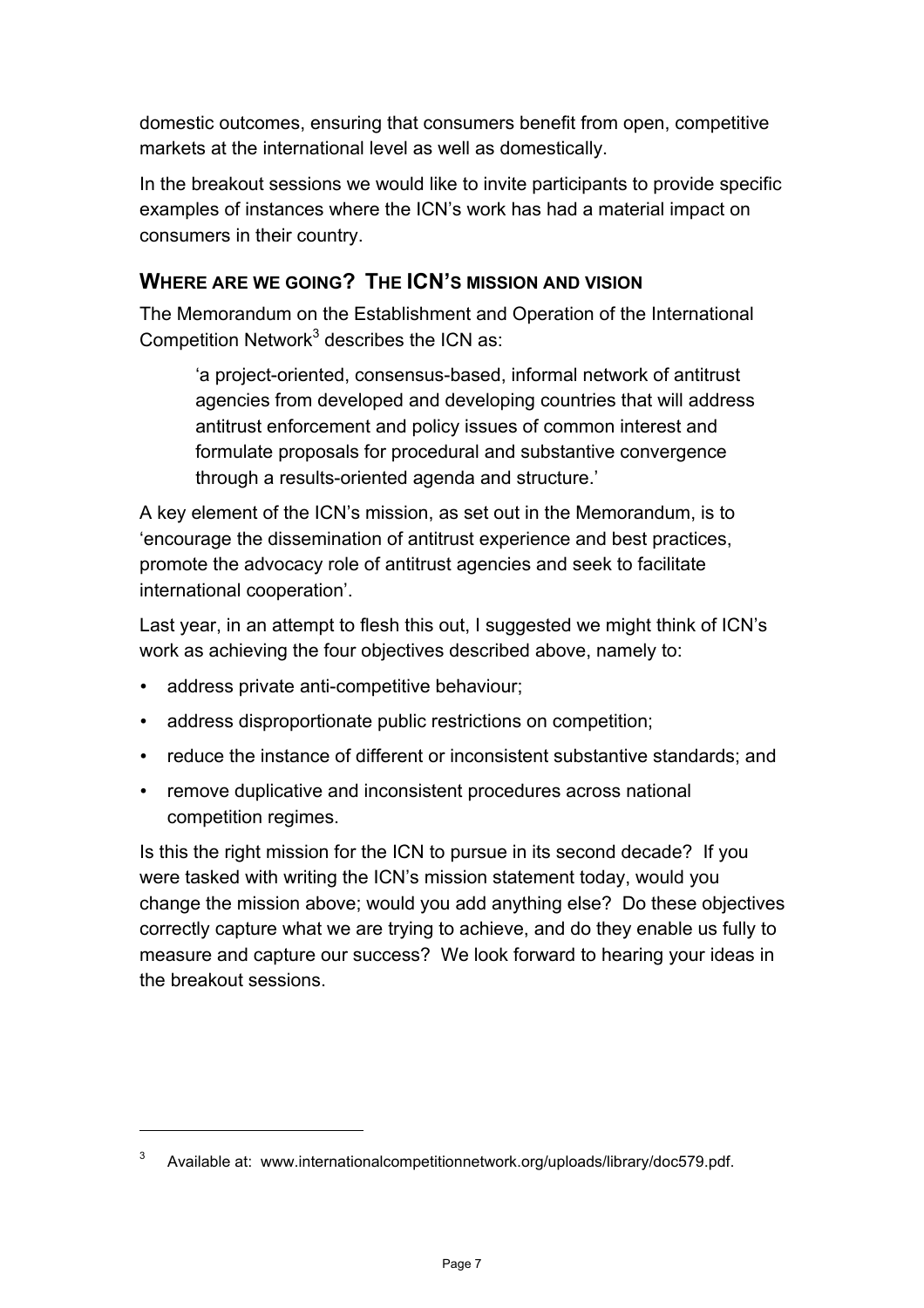domestic outcomes, ensuring that consumers benefit from open, competitive markets at the international level as well as domestically.

In the breakout sessions we would like to invite participants to provide specific examples of instances where the ICN's work has had a material impact on consumers in their country.

## **WHERE ARE WE GOING? THE ICN'S MISSION AND VISION**

The Memorandum on the Establishment and Operation of the International Competition Network $3$  describes the ICN as:

'a project-oriented, consensus-based, informal network of antitrust agencies from developed and developing countries that will address antitrust enforcement and policy issues of common interest and formulate proposals for procedural and substantive convergence through a results-oriented agenda and structure.'

A key element of the ICN's mission, as set out in the Memorandum, is to 'encourage the dissemination of antitrust experience and best practices, promote the advocacy role of antitrust agencies and seek to facilitate international cooperation'.

Last year, in an attempt to flesh this out, I suggested we might think of ICN's work as achieving the four objectives described above, namely to:

• address private anti-competitive behaviour;

l

- address disproportionate public restrictions on competition;
- reduce the instance of different or inconsistent substantive standards; and
- remove duplicative and inconsistent procedures across national competition regimes.

Is this the right mission for the ICN to pursue in its second decade? If you were tasked with writing the ICN's mission statement today, would you change the mission above; would you add anything else? Do these objectives correctly capture what we are trying to achieve, and do they enable us fully to measure and capture our success? We look forward to hearing your ideas in the breakout sessions.

<sup>&</sup>lt;sup>3</sup> Available at: www.internationalcompetitionnetwork.org/uploads/library/doc579.pdf.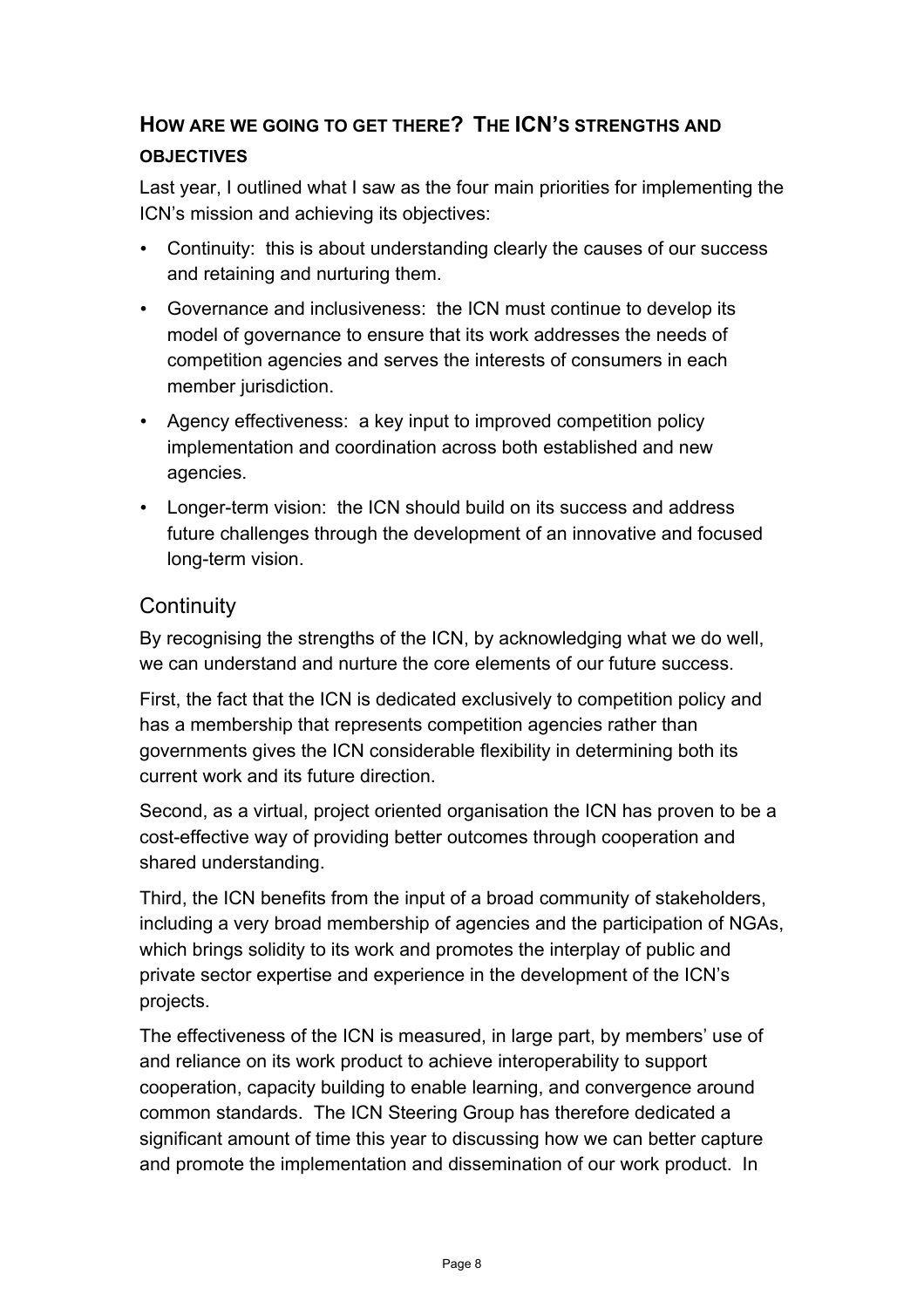# **HOW ARE WE GOING TO GET THERE? THE ICN'S STRENGTHS AND OBJECTIVES**

Last year, I outlined what I saw as the four main priorities for implementing the ICN's mission and achieving its objectives:

- Continuity: this is about understanding clearly the causes of our success and retaining and nurturing them.
- Governance and inclusiveness: the ICN must continue to develop its model of governance to ensure that its work addresses the needs of competition agencies and serves the interests of consumers in each member jurisdiction.
- Agency effectiveness: a key input to improved competition policy implementation and coordination across both established and new agencies.
- Longer-term vision: the ICN should build on its success and address future challenges through the development of an innovative and focused long-term vision.

## **Continuity**

By recognising the strengths of the ICN, by acknowledging what we do well, we can understand and nurture the core elements of our future success.

First, the fact that the ICN is dedicated exclusively to competition policy and has a membership that represents competition agencies rather than governments gives the ICN considerable flexibility in determining both its current work and its future direction.

Second, as a virtual, project oriented organisation the ICN has proven to be a cost-effective way of providing better outcomes through cooperation and shared understanding.

Third, the ICN benefits from the input of a broad community of stakeholders, including a very broad membership of agencies and the participation of NGAs, which brings solidity to its work and promotes the interplay of public and private sector expertise and experience in the development of the ICN's projects.

The effectiveness of the ICN is measured, in large part, by members' use of and reliance on its work product to achieve interoperability to support cooperation, capacity building to enable learning, and convergence around common standards. The ICN Steering Group has therefore dedicated a significant amount of time this year to discussing how we can better capture and promote the implementation and dissemination of our work product. In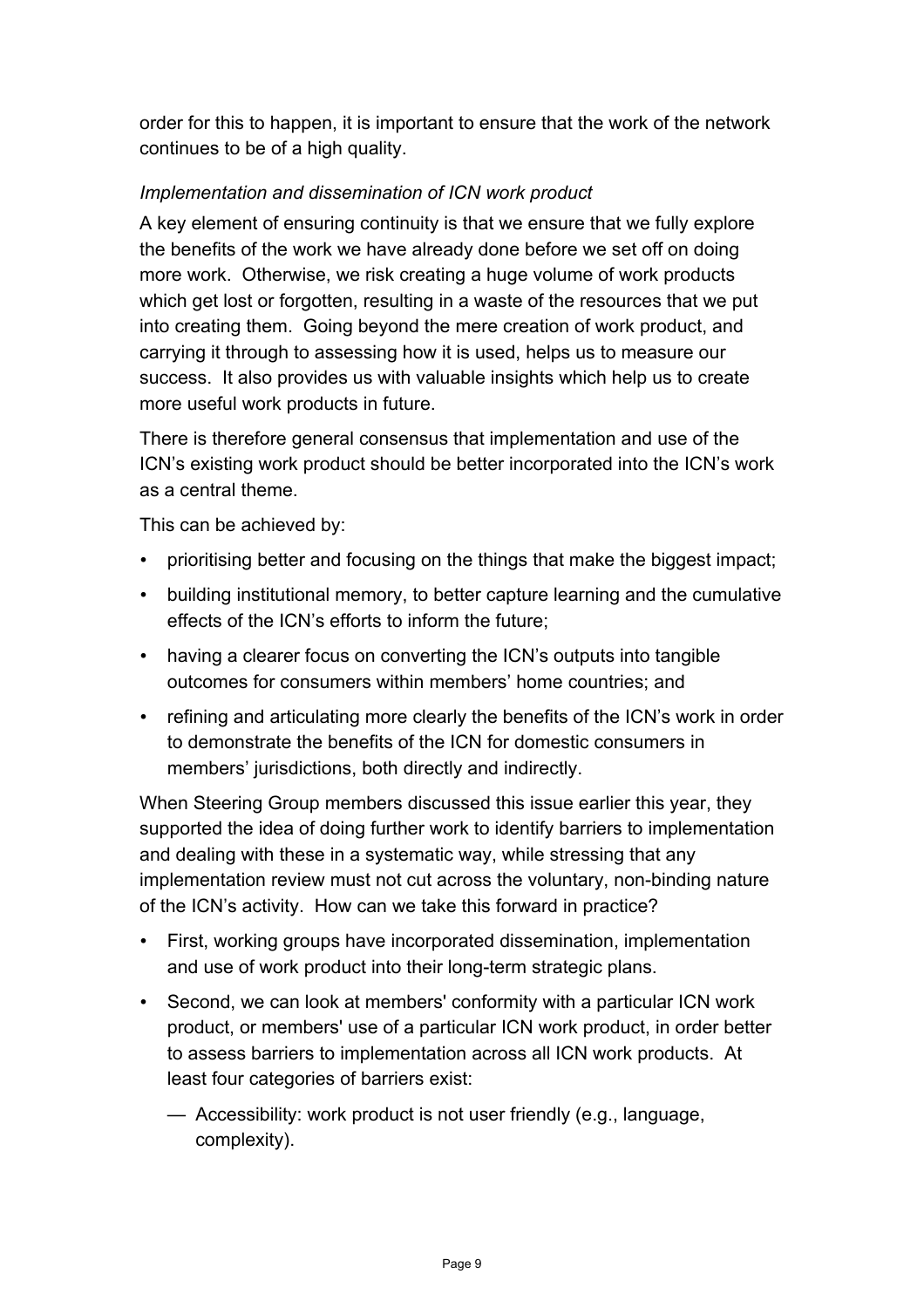order for this to happen, it is important to ensure that the work of the network continues to be of a high quality.

#### *Implementation and dissemination of ICN work product*

A key element of ensuring continuity is that we ensure that we fully explore the benefits of the work we have already done before we set off on doing more work. Otherwise, we risk creating a huge volume of work products which get lost or forgotten, resulting in a waste of the resources that we put into creating them. Going beyond the mere creation of work product, and carrying it through to assessing how it is used, helps us to measure our success. It also provides us with valuable insights which help us to create more useful work products in future.

There is therefore general consensus that implementation and use of the ICN's existing work product should be better incorporated into the ICN's work as a central theme.

This can be achieved by:

- prioritising better and focusing on the things that make the biggest impact;
- building institutional memory, to better capture learning and the cumulative effects of the ICN's efforts to inform the future;
- having a clearer focus on converting the ICN's outputs into tangible outcomes for consumers within members' home countries; and
- refining and articulating more clearly the benefits of the ICN's work in order to demonstrate the benefits of the ICN for domestic consumers in members' jurisdictions, both directly and indirectly.

When Steering Group members discussed this issue earlier this year, they supported the idea of doing further work to identify barriers to implementation and dealing with these in a systematic way, while stressing that any implementation review must not cut across the voluntary, non-binding nature of the ICN's activity. How can we take this forward in practice?

- First, working groups have incorporated dissemination, implementation and use of work product into their long-term strategic plans.
- Second, we can look at members' conformity with a particular ICN work product, or members' use of a particular ICN work product, in order better to assess barriers to implementation across all ICN work products. At least four categories of barriers exist:
	- Accessibility: work product is not user friendly (e.g., language, complexity).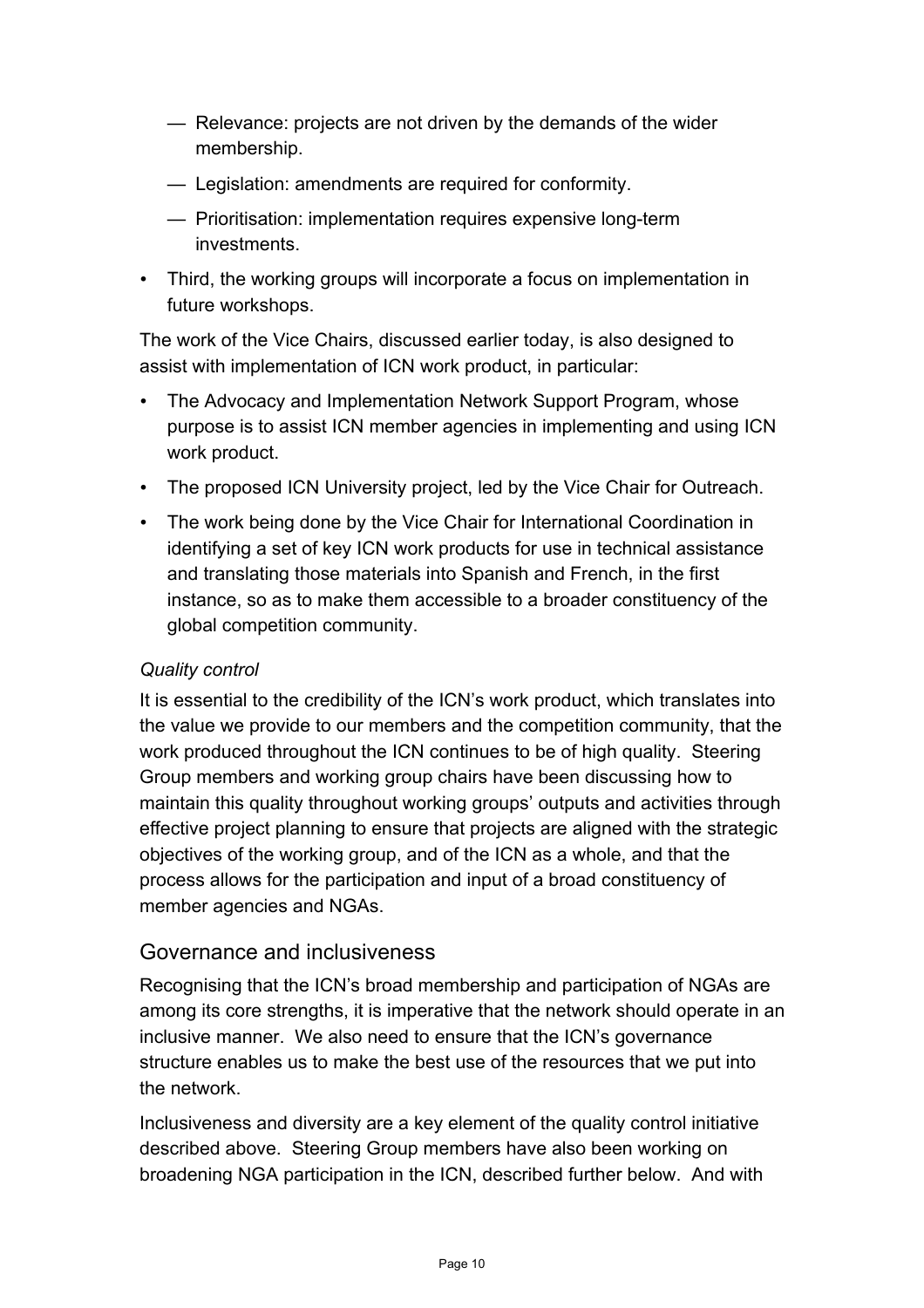- Relevance: projects are not driven by the demands of the wider membership.
- Legislation: amendments are required for conformity.
- Prioritisation: implementation requires expensive long-term investments.
- Third, the working groups will incorporate a focus on implementation in future workshops.

The work of the Vice Chairs, discussed earlier today, is also designed to assist with implementation of ICN work product, in particular:

- The Advocacy and Implementation Network Support Program, whose purpose is to assist ICN member agencies in implementing and using ICN work product.
- The proposed ICN University project, led by the Vice Chair for Outreach.
- The work being done by the Vice Chair for International Coordination in identifying a set of key ICN work products for use in technical assistance and translating those materials into Spanish and French, in the first instance, so as to make them accessible to a broader constituency of the global competition community.

#### *Quality control*

It is essential to the credibility of the ICN's work product, which translates into the value we provide to our members and the competition community, that the work produced throughout the ICN continues to be of high quality. Steering Group members and working group chairs have been discussing how to maintain this quality throughout working groups' outputs and activities through effective project planning to ensure that projects are aligned with the strategic objectives of the working group, and of the ICN as a whole, and that the process allows for the participation and input of a broad constituency of member agencies and NGAs.

## Governance and inclusiveness

Recognising that the ICN's broad membership and participation of NGAs are among its core strengths, it is imperative that the network should operate in an inclusive manner. We also need to ensure that the ICN's governance structure enables us to make the best use of the resources that we put into the network.

Inclusiveness and diversity are a key element of the quality control initiative described above. Steering Group members have also been working on broadening NGA participation in the ICN, described further below. And with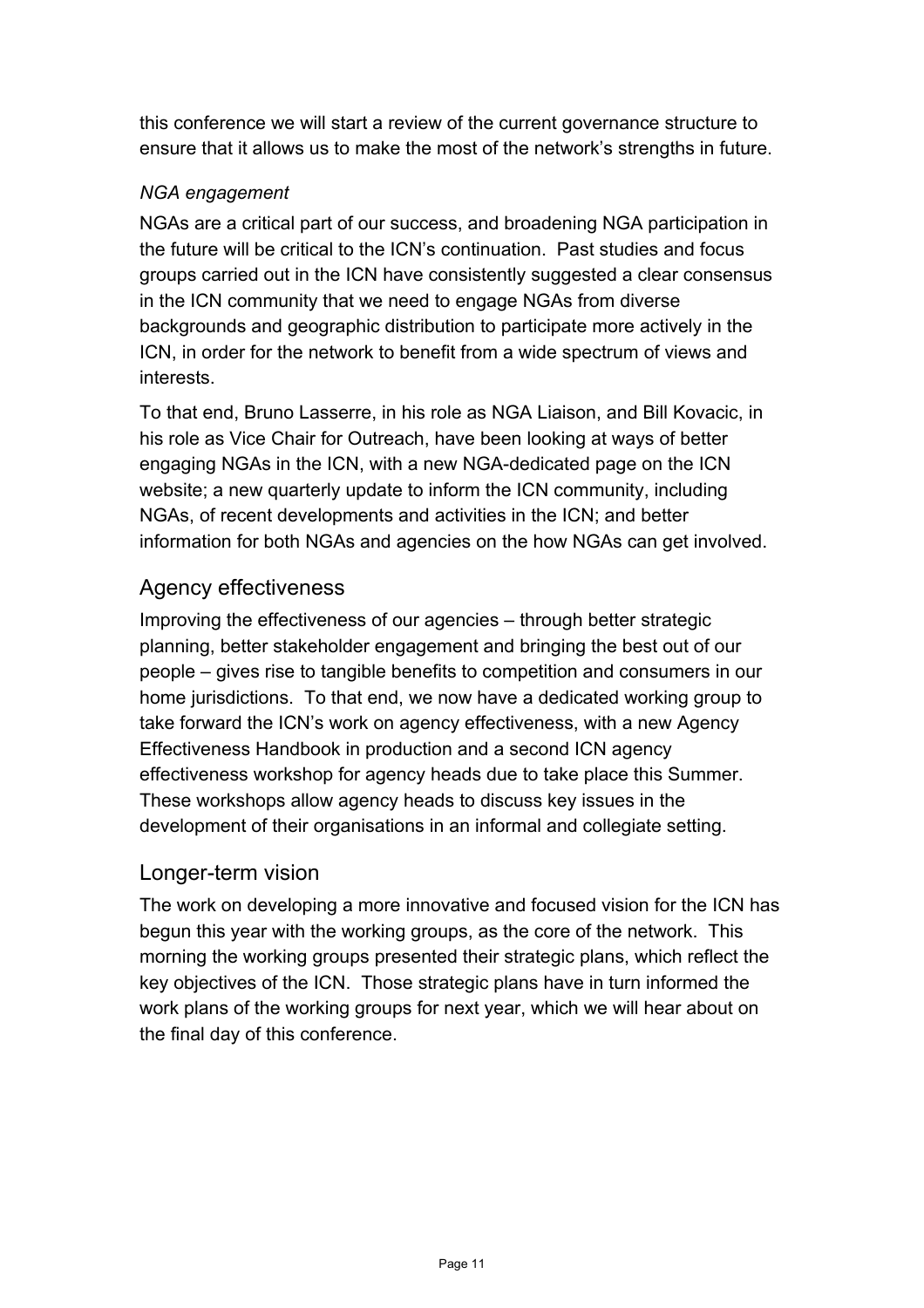this conference we will start a review of the current governance structure to ensure that it allows us to make the most of the network's strengths in future.

#### *NGA engagement*

NGAs are a critical part of our success, and broadening NGA participation in the future will be critical to the ICN's continuation. Past studies and focus groups carried out in the ICN have consistently suggested a clear consensus in the ICN community that we need to engage NGAs from diverse backgrounds and geographic distribution to participate more actively in the ICN, in order for the network to benefit from a wide spectrum of views and interests.

To that end, Bruno Lasserre, in his role as NGA Liaison, and Bill Kovacic, in his role as Vice Chair for Outreach, have been looking at ways of better engaging NGAs in the ICN, with a new NGA-dedicated page on the ICN website; a new quarterly update to inform the ICN community, including NGAs, of recent developments and activities in the ICN; and better information for both NGAs and agencies on the how NGAs can get involved.

## Agency effectiveness

Improving the effectiveness of our agencies – through better strategic planning, better stakeholder engagement and bringing the best out of our people – gives rise to tangible benefits to competition and consumers in our home jurisdictions. To that end, we now have a dedicated working group to take forward the ICN's work on agency effectiveness, with a new Agency Effectiveness Handbook in production and a second ICN agency effectiveness workshop for agency heads due to take place this Summer. These workshops allow agency heads to discuss key issues in the development of their organisations in an informal and collegiate setting.

## Longer-term vision

The work on developing a more innovative and focused vision for the ICN has begun this year with the working groups, as the core of the network. This morning the working groups presented their strategic plans, which reflect the key objectives of the ICN. Those strategic plans have in turn informed the work plans of the working groups for next year, which we will hear about on the final day of this conference.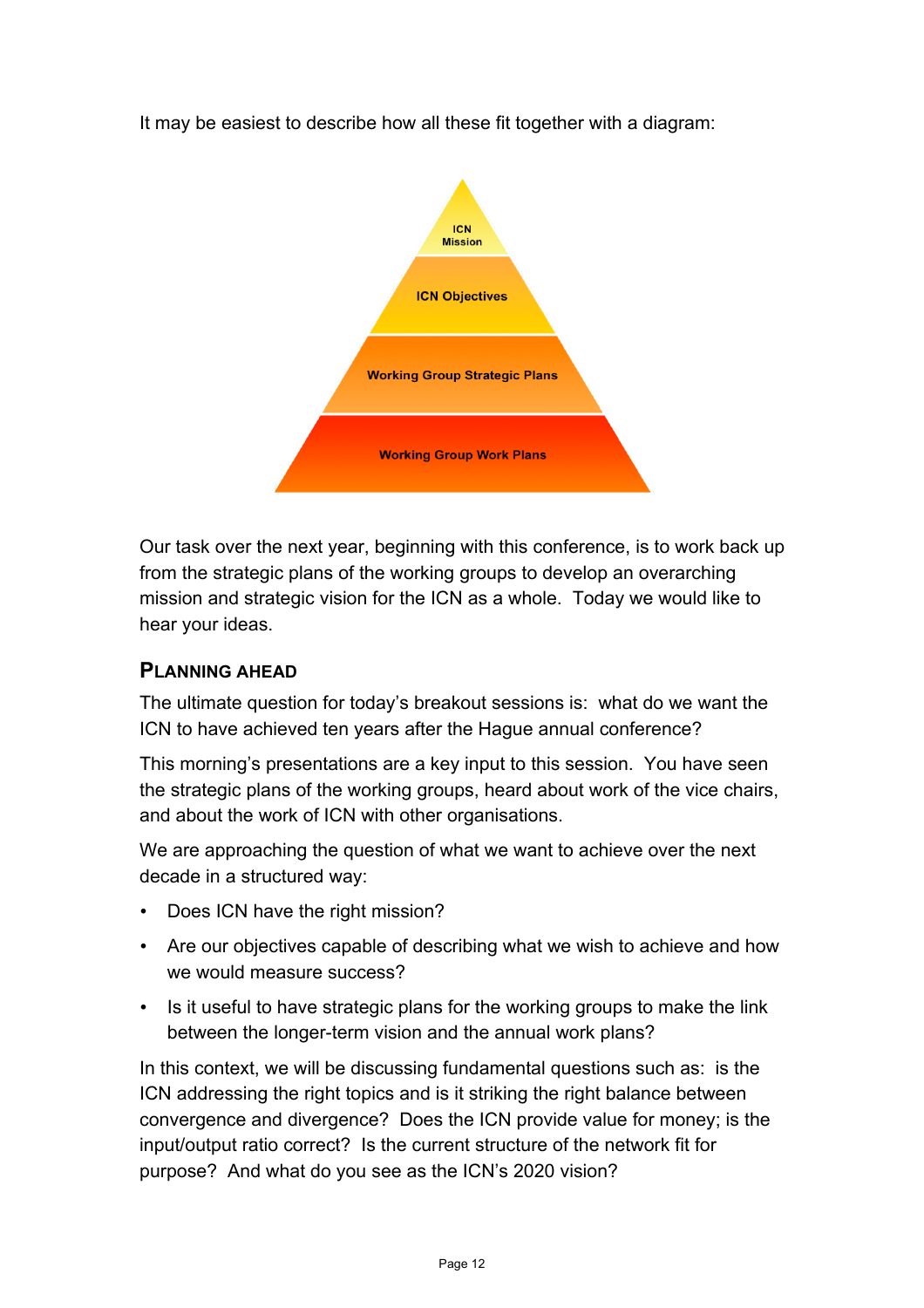It may be easiest to describe how all these fit together with a diagram:



Our task over the next year, beginning with this conference, is to work back up from the strategic plans of the working groups to develop an overarching mission and strategic vision for the ICN as a whole. Today we would like to hear your ideas.

## **PLANNING AHEAD**

The ultimate question for today's breakout sessions is: what do we want the ICN to have achieved ten years after the Hague annual conference?

This morning's presentations are a key input to this session. You have seen the strategic plans of the working groups, heard about work of the vice chairs, and about the work of ICN with other organisations.

We are approaching the question of what we want to achieve over the next decade in a structured way:

- Does ICN have the right mission?
- Are our objectives capable of describing what we wish to achieve and how we would measure success?
- Is it useful to have strategic plans for the working groups to make the link between the longer-term vision and the annual work plans?

In this context, we will be discussing fundamental questions such as: is the ICN addressing the right topics and is it striking the right balance between convergence and divergence? Does the ICN provide value for money; is the input/output ratio correct? Is the current structure of the network fit for purpose? And what do you see as the ICN's 2020 vision?